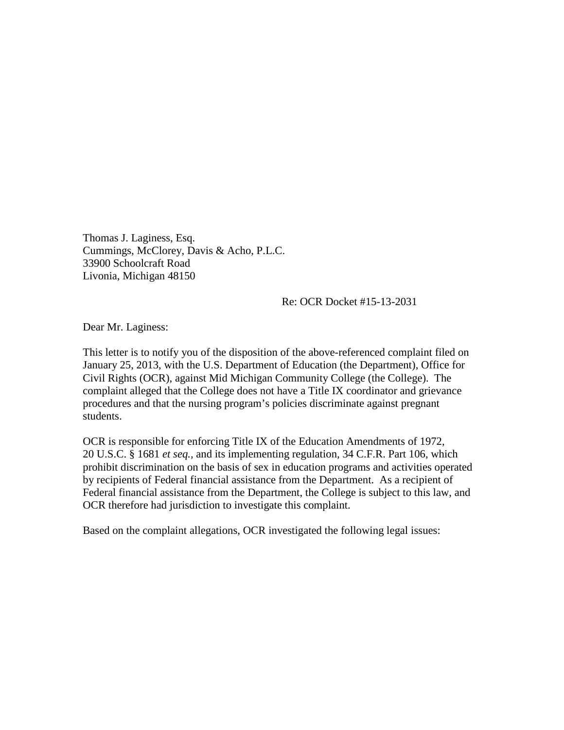Thomas J. Laginess, Esq. Cummings, McClorey, Davis & Acho, P.L.C. 33900 Schoolcraft Road Livonia, Michigan 48150

Re: OCR Docket #15-13-2031

Dear Mr. Laginess:

This letter is to notify you of the disposition of the above-referenced complaint filed on January 25, 2013, with the U.S. Department of Education (the Department), Office for Civil Rights (OCR), against Mid Michigan Community College (the College). The complaint alleged that the College does not have a Title IX coordinator and grievance procedures and that the nursing program's policies discriminate against pregnant students.

OCR is responsible for enforcing Title IX of the Education Amendments of 1972, 20 U.S.C. § 1681 *et seq.,* and its implementing regulation, 34 C.F.R. Part 106, which prohibit discrimination on the basis of sex in education programs and activities operated by recipients of Federal financial assistance from the Department. As a recipient of Federal financial assistance from the Department, the College is subject to this law, and OCR therefore had jurisdiction to investigate this complaint.

Based on the complaint allegations, OCR investigated the following legal issues: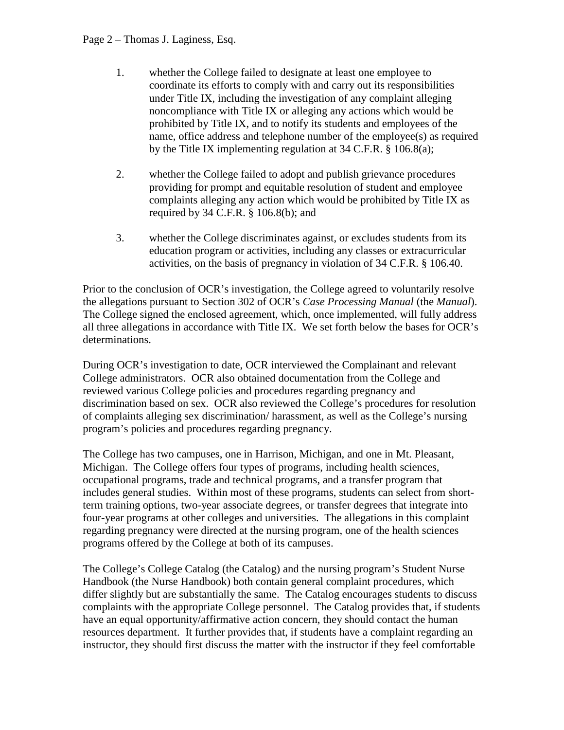## Page 2 – Thomas J. Laginess, Esq.

- 1. whether the College failed to designate at least one employee to coordinate its efforts to comply with and carry out its responsibilities under Title IX, including the investigation of any complaint alleging noncompliance with Title IX or alleging any actions which would be prohibited by Title IX, and to notify its students and employees of the name, office address and telephone number of the employee(s) as required by the Title IX implementing regulation at 34 C.F.R. § 106.8(a);
- 2. whether the College failed to adopt and publish grievance procedures providing for prompt and equitable resolution of student and employee complaints alleging any action which would be prohibited by Title IX as required by 34 C.F.R. § 106.8(b); and
- 3. whether the College discriminates against, or excludes students from its education program or activities, including any classes or extracurricular activities, on the basis of pregnancy in violation of 34 C.F.R. § 106.40.

Prior to the conclusion of OCR's investigation, the College agreed to voluntarily resolve the allegations pursuant to Section 302 of OCR's *Case Processing Manual* (the *Manual*). The College signed the enclosed agreement, which, once implemented, will fully address all three allegations in accordance with Title IX. We set forth below the bases for OCR's determinations.

During OCR's investigation to date, OCR interviewed the Complainant and relevant College administrators. OCR also obtained documentation from the College and reviewed various College policies and procedures regarding pregnancy and discrimination based on sex. OCR also reviewed the College's procedures for resolution of complaints alleging sex discrimination/ harassment, as well as the College's nursing program's policies and procedures regarding pregnancy.

The College has two campuses, one in Harrison, Michigan, and one in Mt. Pleasant, Michigan. The College offers four types of programs, including health sciences, occupational programs, trade and technical programs, and a transfer program that includes general studies. Within most of these programs, students can select from shortterm training options, two-year associate degrees, or transfer degrees that integrate into four-year programs at other colleges and universities. The allegations in this complaint regarding pregnancy were directed at the nursing program, one of the health sciences programs offered by the College at both of its campuses.

The College's College Catalog (the Catalog) and the nursing program's Student Nurse Handbook (the Nurse Handbook) both contain general complaint procedures, which differ slightly but are substantially the same. The Catalog encourages students to discuss complaints with the appropriate College personnel. The Catalog provides that, if students have an equal opportunity/affirmative action concern, they should contact the human resources department. It further provides that, if students have a complaint regarding an instructor, they should first discuss the matter with the instructor if they feel comfortable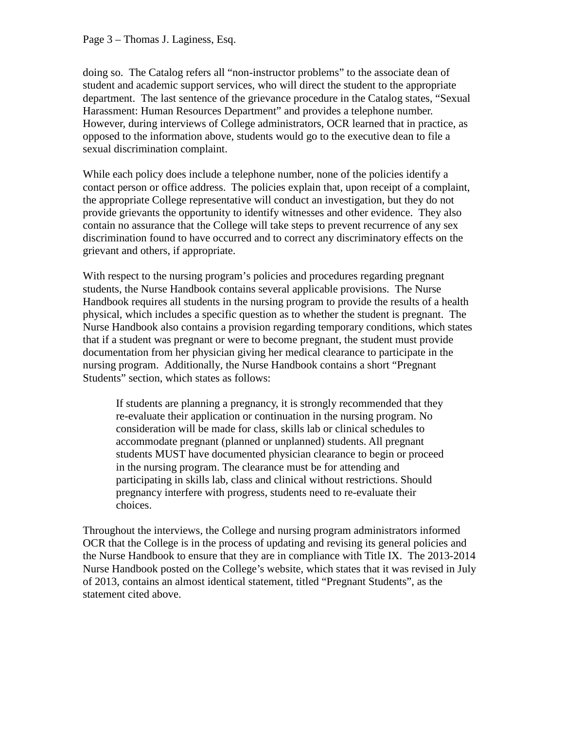## Page 3 – Thomas J. Laginess, Esq.

doing so. The Catalog refers all "non-instructor problems" to the associate dean of student and academic support services, who will direct the student to the appropriate department. The last sentence of the grievance procedure in the Catalog states, "Sexual Harassment: Human Resources Department" and provides a telephone number. However, during interviews of College administrators, OCR learned that in practice, as opposed to the information above, students would go to the executive dean to file a sexual discrimination complaint.

While each policy does include a telephone number, none of the policies identify a contact person or office address. The policies explain that, upon receipt of a complaint, the appropriate College representative will conduct an investigation, but they do not provide grievants the opportunity to identify witnesses and other evidence. They also contain no assurance that the College will take steps to prevent recurrence of any sex discrimination found to have occurred and to correct any discriminatory effects on the grievant and others, if appropriate.

With respect to the nursing program's policies and procedures regarding pregnant students, the Nurse Handbook contains several applicable provisions. The Nurse Handbook requires all students in the nursing program to provide the results of a health physical, which includes a specific question as to whether the student is pregnant. The Nurse Handbook also contains a provision regarding temporary conditions, which states that if a student was pregnant or were to become pregnant, the student must provide documentation from her physician giving her medical clearance to participate in the nursing program. Additionally, the Nurse Handbook contains a short "Pregnant Students" section, which states as follows:

If students are planning a pregnancy, it is strongly recommended that they re-evaluate their application or continuation in the nursing program. No consideration will be made for class, skills lab or clinical schedules to accommodate pregnant (planned or unplanned) students. All pregnant students MUST have documented physician clearance to begin or proceed in the nursing program. The clearance must be for attending and participating in skills lab, class and clinical without restrictions. Should pregnancy interfere with progress, students need to re-evaluate their choices.

Throughout the interviews, the College and nursing program administrators informed OCR that the College is in the process of updating and revising its general policies and the Nurse Handbook to ensure that they are in compliance with Title IX. The 2013-2014 Nurse Handbook posted on the College's website, which states that it was revised in July of 2013, contains an almost identical statement, titled "Pregnant Students", as the statement cited above.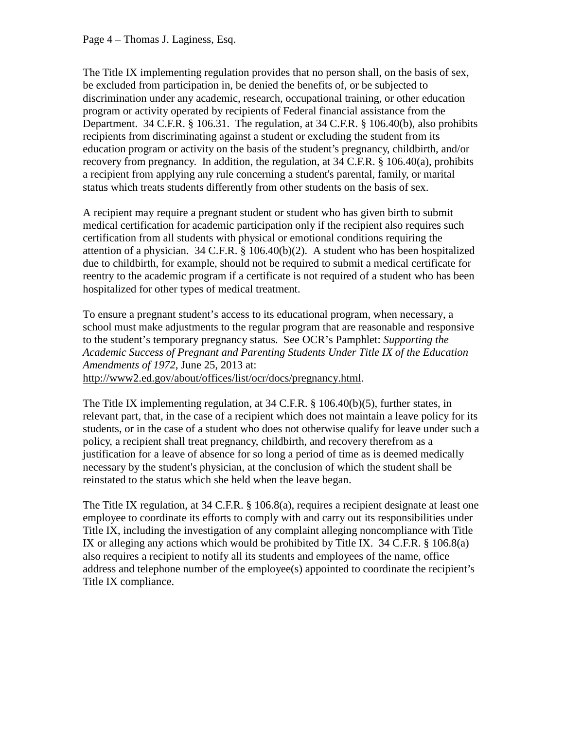The Title IX implementing regulation provides that no person shall, on the basis of sex, be excluded from participation in, be denied the benefits of, or be subjected to discrimination under any academic, research, occupational training, or other education program or activity operated by recipients of Federal financial assistance from the Department. 34 C.F.R. § 106.31. The regulation, at 34 C.F.R. § 106.40(b), also prohibits recipients from discriminating against a student or excluding the student from its education program or activity on the basis of the student's pregnancy, childbirth, and/or recovery from pregnancy. In addition, the regulation, at 34 C.F.R. § 106.40(a), prohibits a recipient from applying any rule concerning a student's parental, family, or marital status which treats students differently from other students on the basis of sex.

A recipient may require a pregnant student or student who has given birth to submit medical certification for academic participation only if the recipient also requires such certification from all students with physical or emotional conditions requiring the attention of a physician. 34 C.F.R.  $\S$  106.40(b)(2). A student who has been hospitalized due to childbirth, for example, should not be required to submit a medical certificate for reentry to the academic program if a certificate is not required of a student who has been hospitalized for other types of medical treatment.

To ensure a pregnant student's access to its educational program, when necessary, a school must make adjustments to the regular program that are reasonable and responsive to the student's temporary pregnancy status. See OCR's Pamphlet: *Supporting the Academic Success of Pregnant and Parenting Students Under Title IX of the Education Amendments of 1972*, June 25, 2013 at: [http://www2.ed.gov/about/offices/list/ocr/docs/pregnancy.html.](http://www2.ed.gov/about/offices/list/ocr/docs/pregnancy.html)

The Title IX implementing regulation, at 34 C.F.R. § 106.40(b)(5), further states, in relevant part, that, in the case of a recipient which does not maintain a leave policy for its students, or in the case of a student who does not otherwise qualify for leave under such a policy, a recipient shall treat pregnancy, childbirth, and recovery therefrom as a justification for a leave of absence for so long a period of time as is deemed medically necessary by the student's physician, at the conclusion of which the student shall be reinstated to the status which she held when the leave began.

The Title IX regulation, at 34 C.F.R. § 106.8(a), requires a recipient designate at least one employee to coordinate its efforts to comply with and carry out its responsibilities under Title IX, including the investigation of any complaint alleging noncompliance with Title IX or alleging any actions which would be prohibited by Title IX. 34 C.F.R. § 106.8(a) also requires a recipient to notify all its students and employees of the name, office address and telephone number of the employee(s) appointed to coordinate the recipient's Title IX compliance.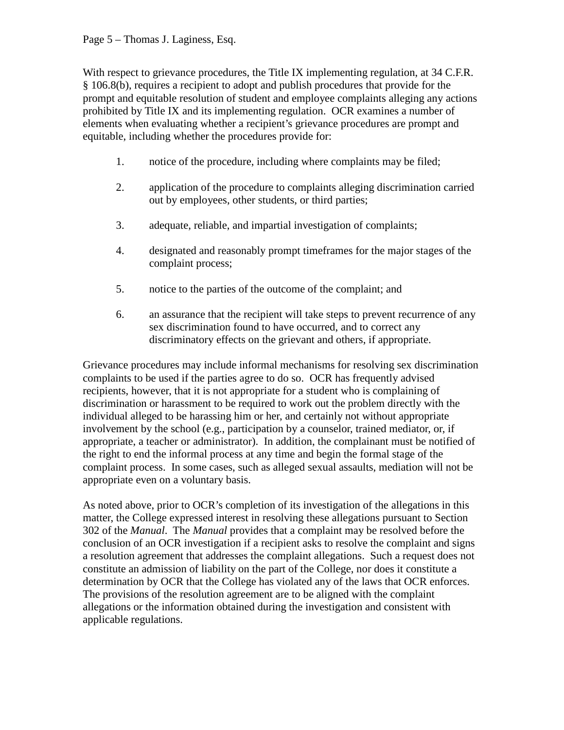With respect to grievance procedures, the Title IX implementing regulation, at 34 C.F.R. § 106.8(b), requires a recipient to adopt and publish procedures that provide for the prompt and equitable resolution of student and employee complaints alleging any actions prohibited by Title IX and its implementing regulation. OCR examines a number of elements when evaluating whether a recipient's grievance procedures are prompt and equitable, including whether the procedures provide for:

- 1. notice of the procedure, including where complaints may be filed;
- 2. application of the procedure to complaints alleging discrimination carried out by employees, other students, or third parties;
- 3. adequate, reliable, and impartial investigation of complaints;
- 4. designated and reasonably prompt timeframes for the major stages of the complaint process;
- 5. notice to the parties of the outcome of the complaint; and
- 6. an assurance that the recipient will take steps to prevent recurrence of any sex discrimination found to have occurred, and to correct any discriminatory effects on the grievant and others, if appropriate.

Grievance procedures may include informal mechanisms for resolving sex discrimination complaints to be used if the parties agree to do so. OCR has frequently advised recipients, however, that it is not appropriate for a student who is complaining of discrimination or harassment to be required to work out the problem directly with the individual alleged to be harassing him or her, and certainly not without appropriate involvement by the school (e.g., participation by a counselor, trained mediator, or, if appropriate, a teacher or administrator). In addition, the complainant must be notified of the right to end the informal process at any time and begin the formal stage of the complaint process. In some cases, such as alleged sexual assaults, mediation will not be appropriate even on a voluntary basis.

As noted above, prior to OCR's completion of its investigation of the allegations in this matter, the College expressed interest in resolving these allegations pursuant to Section 302 of the *Manual*. The *Manual* provides that a complaint may be resolved before the conclusion of an OCR investigation if a recipient asks to resolve the complaint and signs a resolution agreement that addresses the complaint allegations. Such a request does not constitute an admission of liability on the part of the College, nor does it constitute a determination by OCR that the College has violated any of the laws that OCR enforces. The provisions of the resolution agreement are to be aligned with the complaint allegations or the information obtained during the investigation and consistent with applicable regulations.